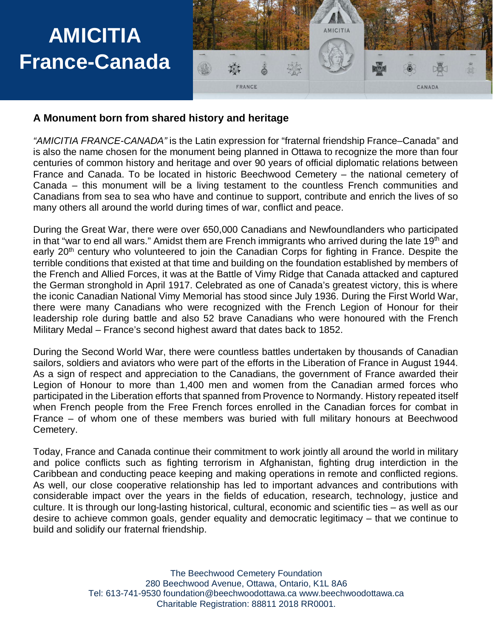

#### **A Monument born from shared history and heritage**

*"AMICITIA FRANCE-CANADA"* is the Latin expression for "fraternal friendship France–Canada" and is also the name chosen for the monument being planned in Ottawa to recognize the more than four centuries of common history and heritage and over 90 years of official diplomatic relations between France and Canada. To be located in historic Beechwood Cemetery – the national cemetery of Canada – this monument will be a living testament to the countless French communities and Canadians from sea to sea who have and continue to support, contribute and enrich the lives of so many others all around the world during times of war, conflict and peace.

During the Great War, there were over 650,000 Canadians and Newfoundlanders who participated in that "war to end all wars." Amidst them are French immigrants who arrived during the late 19<sup>th</sup> and early 20<sup>th</sup> century who volunteered to join the Canadian Corps for fighting in France. Despite the terrible conditions that existed at that time and building on the foundation established by members of the French and Allied Forces, it was at the Battle of Vimy Ridge that Canada attacked and captured the German stronghold in April 1917. Celebrated as one of Canada's greatest victory, this is where the iconic Canadian National Vimy Memorial has stood since July 1936. During the First World War, there were many Canadians who were recognized with the French Legion of Honour for their leadership role during battle and also 52 brave Canadians who were honoured with the French Military Medal – France's second highest award that dates back to 1852.

During the Second World War, there were countless battles undertaken by thousands of Canadian sailors, soldiers and aviators who were part of the efforts in the Liberation of France in August 1944. As a sign of respect and appreciation to the Canadians, the government of France awarded their Legion of Honour to more than 1,400 men and women from the Canadian armed forces who participated in the Liberation efforts that spanned from Provence to Normandy. History repeated itself when French people from the Free French forces enrolled in the Canadian forces for combat in France – of whom one of these members was buried with full military honours at Beechwood Cemetery.

Today, France and Canada continue their commitment to work jointly all around the world in military and police conflicts such as fighting terrorism in Afghanistan, fighting drug interdiction in the Caribbean and conducting peace keeping and making operations in remote and conflicted regions. As well, our close cooperative relationship has led to important advances and contributions with considerable impact over the years in the fields of education, research, technology, justice and culture. It is through our long-lasting historical, cultural, economic and scientific ties – as well as our desire to achieve common goals, gender equality and democratic legitimacy – that we continue to build and solidify our fraternal friendship.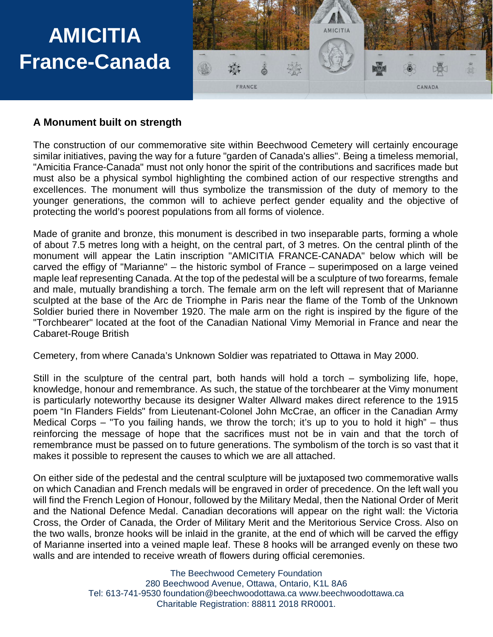

#### **A Monument built on strength**

The construction of our commemorative site within Beechwood Cemetery will certainly encourage similar initiatives, paving the way for a future "garden of Canada's allies". Being a timeless memorial, "Amicitia France-Canada" must not only honor the spirit of the contributions and sacrifices made but must also be a physical symbol highlighting the combined action of our respective strengths and excellences. The monument will thus symbolize the transmission of the duty of memory to the younger generations, the common will to achieve perfect gender equality and the objective of protecting the world's poorest populations from all forms of violence.

Made of granite and bronze, this monument is described in two inseparable parts, forming a whole of about 7.5 metres long with a height, on the central part, of 3 metres. On the central plinth of the monument will appear the Latin inscription "AMICITIA FRANCE-CANADA" below which will be carved the effigy of "Marianne" – the historic symbol of France – superimposed on a large veined maple leaf representing Canada. At the top of the pedestal will be a sculpture of two forearms, female and male, mutually brandishing a torch. The female arm on the left will represent that of Marianne sculpted at the base of the Arc de Triomphe in Paris near the flame of the Tomb of the Unknown Soldier buried there in November 1920. The male arm on the right is inspired by the figure of the "Torchbearer" located at the foot of the Canadian National Vimy Memorial in France and near the Cabaret-Rouge British

Cemetery, from where Canada's Unknown Soldier was repatriated to Ottawa in May 2000.

Still in the sculpture of the central part, both hands will hold a torch – symbolizing life, hope, knowledge, honour and remembrance. As such, the statue of the torchbearer at the Vimy monument is particularly noteworthy because its designer Walter Allward makes direct reference to the 1915 poem "In Flanders Fields" from Lieutenant-Colonel John McCrae, an officer in the Canadian Army Medical Corps – "To you failing hands, we throw the torch; it's up to you to hold it high" – thus reinforcing the message of hope that the sacrifices must not be in vain and that the torch of remembrance must be passed on to future generations. The symbolism of the torch is so vast that it makes it possible to represent the causes to which we are all attached.

On either side of the pedestal and the central sculpture will be juxtaposed two commemorative walls on which Canadian and French medals will be engraved in order of precedence. On the left wall you will find the French Legion of Honour, followed by the Military Medal, then the National Order of Merit and the National Defence Medal. Canadian decorations will appear on the right wall: the Victoria Cross, the Order of Canada, the Order of Military Merit and the Meritorious Service Cross. Also on the two walls, bronze hooks will be inlaid in the granite, at the end of which will be carved the effigy of Marianne inserted into a veined maple leaf. These 8 hooks will be arranged evenly on these two walls and are intended to receive wreath of flowers during official ceremonies.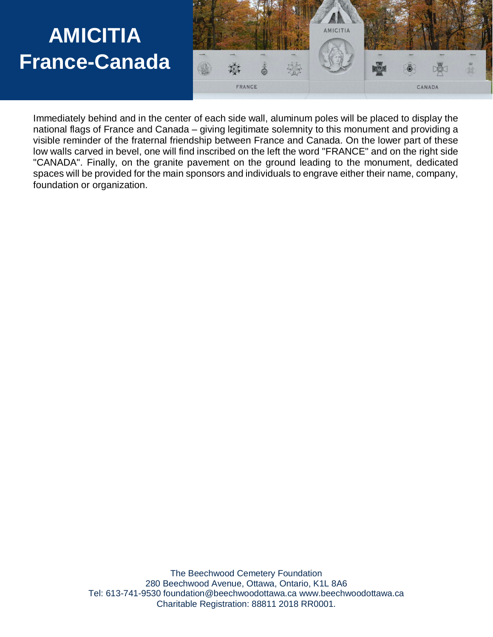

Immediately behind and in the center of each side wall, aluminum poles will be placed to display the national flags of France and Canada – giving legitimate solemnity to this monument and providing a visible reminder of the fraternal friendship between France and Canada. On the lower part of these low walls carved in bevel, one will find inscribed on the left the word "FRANCE" and on the right side "CANADA". Finally, on the granite pavement on the ground leading to the monument, dedicated spaces will be provided for the main sponsors and individuals to engrave either their name, company, foundation or organization.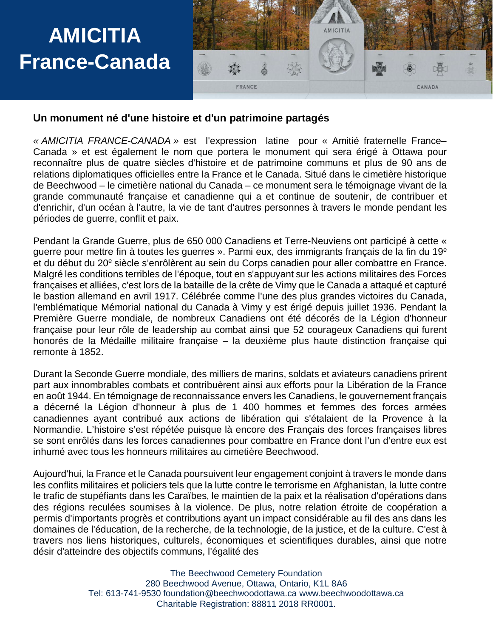

#### **Un monument né d'une histoire et d'un patrimoine partagés**

*« AMICITIA FRANCE-CANADA »* est l'expression latine pour « Amitié fraternelle France– Canada » et est également le nom que portera le monument qui sera érigé à Ottawa pour reconnaître plus de quatre siècles d'histoire et de patrimoine communs et plus de 90 ans de relations diplomatiques officielles entre la France et le Canada. Situé dans le cimetière historique de Beechwood – le cimetière national du Canada – ce monument sera le témoignage vivant de la grande communauté française et canadienne qui a et continue de soutenir, de contribuer et d'enrichir, d'un océan à l'autre, la vie de tant d'autres personnes à travers le monde pendant les périodes de guerre, conflit et paix.

Pendant la Grande Guerre, plus de 650 000 Canadiens et Terre-Neuviens ont participé à cette « guerre pour mettre fin à toutes les guerres ». Parmi eux, des immigrants français de la fin du 19e et du début du 20<sup>e</sup> siècle s'enrôlèrent au sein du Corps canadien pour aller combattre en France. Malgré les conditions terribles de l'époque, tout en s'appuyant sur les actions militaires des Forces françaises et alliées, c'est lors de la bataille de la crête de Vimy que le Canada a attaqué et capturé le bastion allemand en avril 1917. Célébrée comme l'une des plus grandes victoires du Canada, l'emblématique Mémorial national du Canada à Vimy y est érigé depuis juillet 1936. Pendant la Première Guerre mondiale, de nombreux Canadiens ont été décorés de la Légion d'honneur française pour leur rôle de leadership au combat ainsi que 52 courageux Canadiens qui furent honorés de la Médaille militaire française – la deuxième plus haute distinction française qui remonte à 1852.

Durant la Seconde Guerre mondiale, des milliers de marins, soldats et aviateurs canadiens prirent part aux innombrables combats et contribuèrent ainsi aux efforts pour la Libération de la France en août 1944. En témoignage de reconnaissance envers les Canadiens, le gouvernement français a décerné la Légion d'honneur à plus de 1 400 hommes et femmes des forces armées canadiennes ayant contribué aux actions de libération qui s'étalaient de la Provence à la Normandie. L'histoire s'est répétée puisque là encore des Français des forces françaises libres se sont enrôlés dans les forces canadiennes pour combattre en France dont l'un d'entre eux est inhumé avec tous les honneurs militaires au cimetière Beechwood.

Aujourd'hui, la France et le Canada poursuivent leur engagement conjoint à travers le monde dans les conflits militaires et policiers tels que la lutte contre le terrorisme en Afghanistan, la lutte contre le trafic de stupéfiants dans les Caraïbes, le maintien de la paix et la réalisation d'opérations dans des régions reculées soumises à la violence. De plus, notre relation étroite de coopération a permis d'importants progrès et contributions ayant un impact considérable au fil des ans dans les domaines de l'éducation, de la recherche, de la technologie, de la justice, et de la culture. C'est à travers nos liens historiques, culturels, économiques et scientifiques durables, ainsi que notre désir d'atteindre des objectifs communs, l'égalité des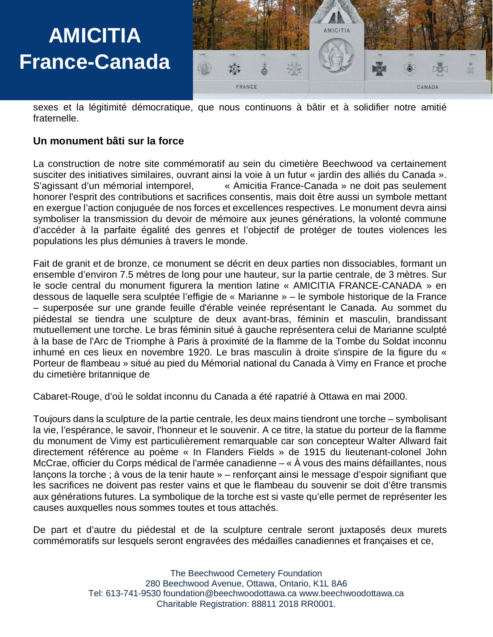

sexes et la légitimité démocratique, que nous continuons à bâtir et à solidifier notre amitié fraternelle.

#### **Un monument bâti sur la force**

La construction de notre site commémoratif au sein du cimetière Beechwood va certainement susciter des initiatives similaires, ouvrant ainsi la voie à un futur « jardin des alliés du Canada ». S'agissant d'un mémorial intemporel, « Amicitia France-Canada » ne doit pas seulement honorer l'esprit des contributions et sacrifices consentis, mais doit être aussi un symbole mettant en exergue l'action conjuguée de nos forces et excellences respectives. Le monument devra ainsi symboliser la transmission du devoir de mémoire aux jeunes générations, la volonté commune d'accéder à la parfaite égalité des genres et l'objectif de protéger de toutes violences les populations les plus démunies à travers le monde.

Fait de granit et de bronze, ce monument se décrit en deux parties non dissociables, formant un ensemble d'environ 7.5 mètres de long pour une hauteur, sur la partie centrale, de 3 mètres. Sur le socle central du monument figurera la mention latine « AMICITIA FRANCE-CANADA » en dessous de laquelle sera sculptée l'effigie de « Marianne » – le symbole historique de la France – superposée sur une grande feuille d'érable veinée représentant le Canada. Au sommet du piédestal se tiendra une sculpture de deux avant-bras, féminin et masculin, brandissant mutuellement une torche. Le bras féminin situé à gauche représentera celui de Marianne sculpté à la base de l'Arc de Triomphe à Paris à proximité de la flamme de la Tombe du Soldat inconnu inhumé en ces lieux en novembre 1920. Le bras masculin à droite s'inspire de la figure du « Porteur de flambeau » situé au pied du Mémorial national du Canada à Vimy en France et proche du cimetière britannique de

Cabaret-Rouge, d'où le soldat inconnu du Canada a été rapatrié à Ottawa en mai 2000.

Toujours dans la sculpture de la partie centrale, les deux mains tiendront une torche – symbolisant la vie, l'espérance, le savoir, l'honneur et le souvenir. A ce titre, la statue du porteur de la flamme du monument de Vimy est particulièrement remarquable car son concepteur Walter Allward fait directement référence au poème « In Flanders Fields » de 1915 du lieutenant-colonel John McCrae, officier du Corps médical de l'armée canadienne – « À vous des mains défaillantes, nous lançons la torche ; à vous de la tenir haute » – renforçant ainsi le message d'espoir signifiant que les sacrifices ne doivent pas rester vains et que le flambeau du souvenir se doit d'être transmis aux générations futures. La symbolique de la torche est si vaste qu'elle permet de représenter les causes auxquelles nous sommes toutes et tous attachés.

De part et d'autre du piédestal et de la sculpture centrale seront juxtaposés deux murets commémoratifs sur lesquels seront engravées des médailles canadiennes et françaises et ce,